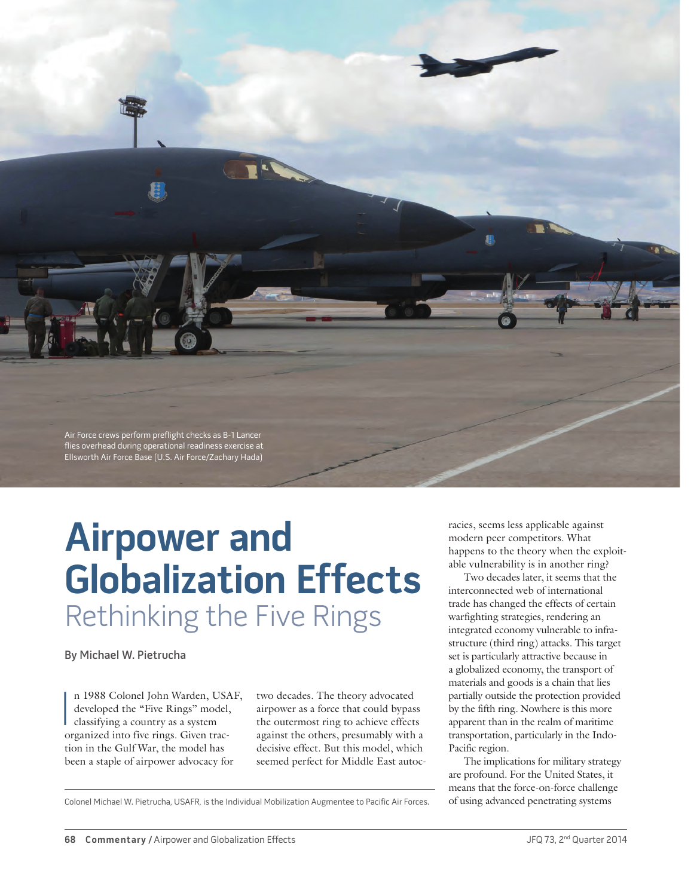

# **Airpower and Globalization Effects** Rethinking the Five Rings

By Michael W. Pietrucha

n 1988 Colonel John Warden, USA<br>developed the "Five Rings" model.<br>classifying a country as a system<br>organized into five rings. Given tracn 1988 Colonel John Warden, USAF, developed the "Five Rings" model, classifying a country as a system tion in the Gulf War, the model has been a staple of airpower advocacy for

two decades. The theory advocated airpower as a force that could bypass the outermost ring to achieve effects against the others, presumably with a decisive effect. But this model, which seemed perfect for Middle East autocracies, seems less applicable against modern peer competitors. What happens to the theory when the exploitable vulnerability is in another ring?

Two decades later, it seems that the interconnected web of international trade has changed the effects of certain warfighting strategies, rendering an integrated economy vulnerable to infrastructure (third ring) attacks. This target set is particularly attractive because in a globalized economy, the transport of materials and goods is a chain that lies partially outside the protection provided by the fifth ring*.* Nowhere is this more apparent than in the realm of maritime transportation, particularly in the Indo-Pacific region.

The implications for military strategy are profound. For the United States, it means that the force-on-force challenge

Colonel Michael W. Pietrucha, USAFR, is the Individual Mobilization Augmentee to Pacific Air Forces. of using advanced penetrating systems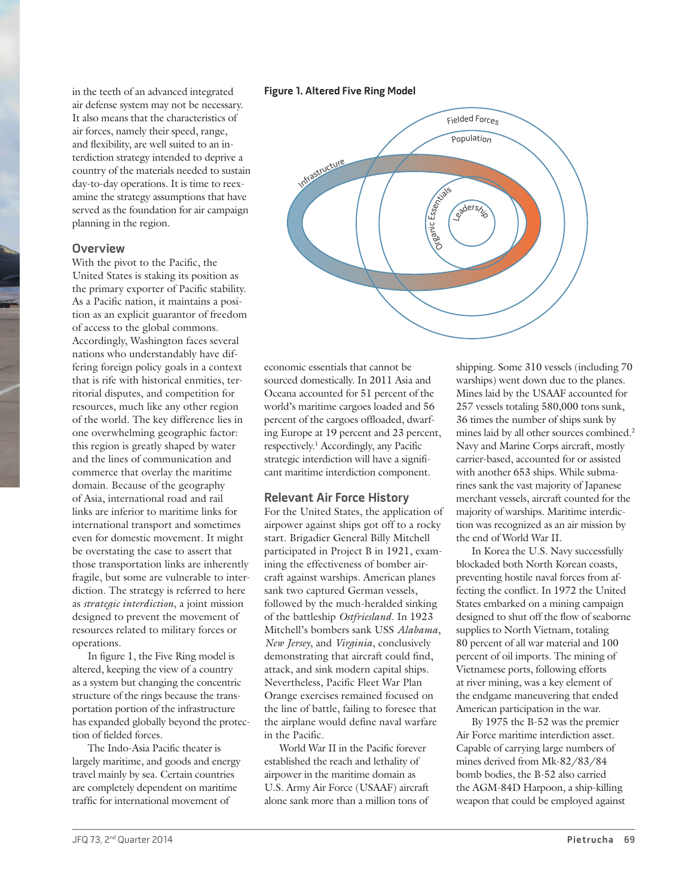in the teeth of an advanced integrated air defense system may not be necessary. It also means that the characteristics of air forces, namely their speed, range, and flexibility, are well suited to an interdiction strategy intended to deprive a country of the materials needed to sustain day-to-day operations. It is time to reexamine the strategy assumptions that have served as the foundation for air campaign planning in the region.

#### **Overview**

With the pivot to the Pacific, the United States is staking its position as the primary exporter of Pacific stability. As a Pacific nation, it maintains a position as an explicit guarantor of freedom of access to the global commons. Accordingly, Washington faces several nations who understandably have differing foreign policy goals in a context that is rife with historical enmities, territorial disputes, and competition for resources, much like any other region of the world. The key difference lies in one overwhelming geographic factor: this region is greatly shaped by water and the lines of communication and commerce that overlay the maritime domain. Because of the geography of Asia, international road and rail links are inferior to maritime links for international transport and sometimes even for domestic movement. It might be overstating the case to assert that those transportation links are inherently fragile, but some are vulnerable to interdiction. The strategy is referred to here as *strategic interdiction*, a joint mission designed to prevent the movement of resources related to military forces or operations.

In figure 1, the Five Ring model is altered, keeping the view of a country as a system but changing the concentric structure of the rings because the transportation portion of the infrastructure has expanded globally beyond the protection of fielded forces.

The Indo-Asia Pacific theater is largely maritime, and goods and energy travel mainly by sea. Certain countries are completely dependent on maritime traffic for international movement of

#### **Figure 1. Altered Five Ring Model**



economic essentials that cannot be sourced domestically. In 2011 Asia and Oceana accounted for 51 percent of the world's maritime cargoes loaded and 56 percent of the cargoes offloaded, dwarfing Europe at 19 percent and 23 percent, respectively.1 Accordingly, any Pacific strategic interdiction will have a significant maritime interdiction component.

#### **Relevant Air Force History**

For the United States, the application of airpower against ships got off to a rocky start. Brigadier General Billy Mitchell participated in Project B in 1921, examining the effectiveness of bomber aircraft against warships. American planes sank two captured German vessels, followed by the much-heralded sinking of the battleship *Ostfriesland*. In 1923 Mitchell's bombers sank USS *Alabama*, *New Jersey*, and *Virginia*, conclusively demonstrating that aircraft could find, attack, and sink modern capital ships. Nevertheless, Pacific Fleet War Plan Orange exercises remained focused on the line of battle, failing to foresee that the airplane would define naval warfare in the Pacific.

World War II in the Pacific forever established the reach and lethality of airpower in the maritime domain as U.S. Army Air Force (USAAF) aircraft alone sank more than a million tons of

shipping. Some 310 vessels (including 70 warships) went down due to the planes. Mines laid by the USAAF accounted for 257 vessels totaling 580,000 tons sunk, 36 times the number of ships sunk by mines laid by all other sources combined.<sup>2</sup> Navy and Marine Corps aircraft, mostly carrier-based, accounted for or assisted with another 653 ships. While submarines sank the vast majority of Japanese merchant vessels, aircraft counted for the majority of warships. Maritime interdiction was recognized as an air mission by the end of World War II.

In Korea the U.S. Navy successfully blockaded both North Korean coasts, preventing hostile naval forces from affecting the conflict. In 1972 the United States embarked on a mining campaign designed to shut off the flow of seaborne supplies to North Vietnam, totaling 80 percent of all war material and 100 percent of oil imports. The mining of Vietnamese ports, following efforts at river mining, was a key element of the endgame maneuvering that ended American participation in the war.

By 1975 the B-52 was the premier Air Force maritime interdiction asset. Capable of carrying large numbers of mines derived from Mk-82/83/84 bomb bodies, the B-52 also carried the AGM-84D Harpoon, a ship-killing weapon that could be employed against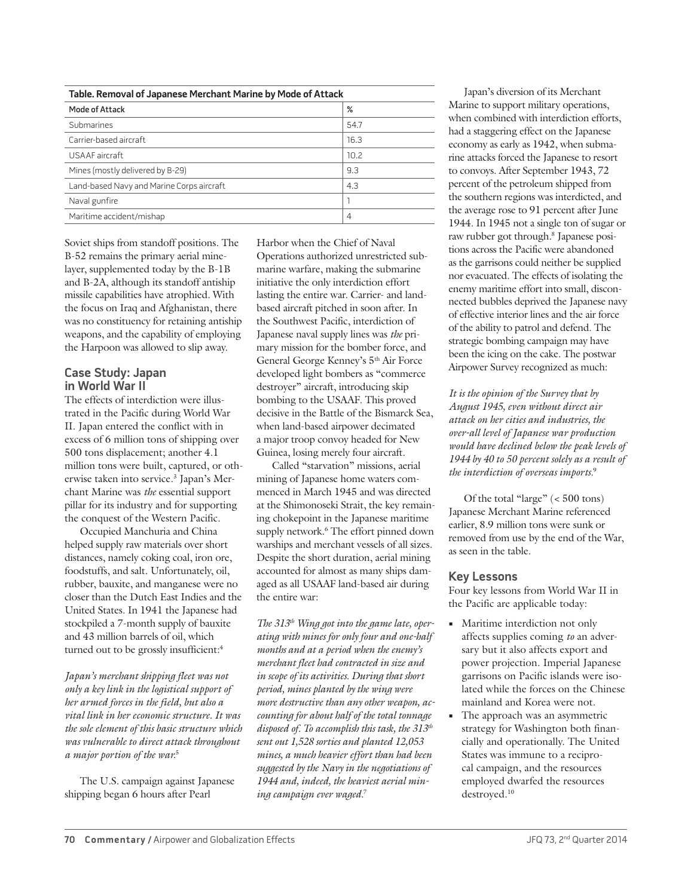| Table. Removal of Japanese Merchant Marine by Mode of Attack |      |
|--------------------------------------------------------------|------|
| Mode of Attack                                               | %    |
| Submarines                                                   | 54.7 |
| Carrier-based aircraft                                       | 16.3 |
| USAAF aircraft                                               | 10.2 |
| Mines (mostly delivered by B-29)                             | 9.3  |
| Land-based Navy and Marine Corps aircraft                    | 4.3  |
| Naval gunfire                                                |      |
| Maritime accident/mishap                                     | 4    |

Soviet ships from standoff positions. The B-52 remains the primary aerial minelayer, supplemented today by the B-1B and B-2A, although its standoff antiship missile capabilities have atrophied. With the focus on Iraq and Afghanistan, there was no constituency for retaining antiship weapons, and the capability of employing the Harpoon was allowed to slip away.

## **Case Study: Japan in World War II**

The effects of interdiction were illustrated in the Pacific during World War II. Japan entered the conflict with in excess of 6 million tons of shipping over 500 tons displacement; another 4.1 million tons were built, captured, or otherwise taken into service.<sup>3</sup> Japan's Merchant Marine was *the* essential support pillar for its industry and for supporting the conquest of the Western Pacific.

Occupied Manchuria and China helped supply raw materials over short distances, namely coking coal, iron ore, foodstuffs, and salt. Unfortunately, oil, rubber, bauxite, and manganese were no closer than the Dutch East Indies and the United States. In 1941 the Japanese had stockpiled a 7-month supply of bauxite and 43 million barrels of oil, which turned out to be grossly insufficient:<sup>4</sup>

*Japan's merchant shipping fleet was not only a key link in the logistical support of her armed forces in the field, but also a vital link in her economic structure. It was the sole element of this basic structure which was vulnerable to direct attack throughout a major portion of the war.*<sup>5</sup>

The U.S. campaign against Japanese shipping began 6 hours after Pearl

Harbor when the Chief of Naval Operations authorized unrestricted submarine warfare, making the submarine initiative the only interdiction effort lasting the entire war. Carrier- and landbased aircraft pitched in soon after. In the Southwest Pacific, interdiction of Japanese naval supply lines was *the* primary mission for the bomber force, and General George Kenney's 5th Air Force developed light bombers as "commerce destroyer" aircraft, introducing skip bombing to the USAAF. This proved decisive in the Battle of the Bismarck Sea, when land-based airpower decimated a major troop convoy headed for New Guinea, losing merely four aircraft.

Called "starvation" missions, aerial mining of Japanese home waters commenced in March 1945 and was directed at the Shimonoseki Strait, the key remaining chokepoint in the Japanese maritime supply network.<sup>6</sup> The effort pinned down warships and merchant vessels of all sizes. Despite the short duration, aerial mining accounted for almost as many ships damaged as all USAAF land-based air during the entire war:

*The 313th Wing got into the game late, operating with mines for only four and one-half months and at a period when the enemy's merchant fleet had contracted in size and in scope of its activities. During that short period, mines planted by the wing were more destructive than any other weapon, accounting for about half of the total tonnage disposed of. To accomplish this task, the 313th sent out 1,528 sorties and planted 12,053 mines, a much heavier effort than had been suggested by the Navy in the negotiations of 1944 and, indeed, the heaviest aerial mining campaign ever waged.*<sup>7</sup>

Japan's diversion of its Merchant Marine to support military operations, when combined with interdiction efforts, had a staggering effect on the Japanese economy as early as 1942, when submarine attacks forced the Japanese to resort to convoys. After September 1943, 72 percent of the petroleum shipped from the southern regions was interdicted, and the average rose to 91 percent after June 1944. In 1945 not a single ton of sugar or raw rubber got through.8 Japanese positions across the Pacific were abandoned as the garrisons could neither be supplied nor evacuated. The effects of isolating the enemy maritime effort into small, disconnected bubbles deprived the Japanese navy of effective interior lines and the air force of the ability to patrol and defend. The strategic bombing campaign may have been the icing on the cake. The postwar Airpower Survey recognized as much:

*It is the opinion of the Survey that by August 1945, even without direct air attack on her cities and industries, the over-all level of Japanese war production would have declined below the peak levels of 1944 by 40 to 50 percent solely as a result of the interdiction of overseas imports.*<sup>9</sup>

Of the total "large" (< 500 tons) Japanese Merchant Marine referenced earlier, 8.9 million tons were sunk or removed from use by the end of the War, as seen in the table.

#### **Key Lessons**

Four key lessons from World War II in the Pacific are applicable today:

- **•** Maritime interdiction not only affects supplies coming *to* an adversary but it also affects export and power projection. Imperial Japanese garrisons on Pacific islands were isolated while the forces on the Chinese mainland and Korea were not.
- **•** The approach was an asymmetric strategy for Washington both financially and operationally. The United States was immune to a reciprocal campaign, and the resources employed dwarfed the resources destroyed.10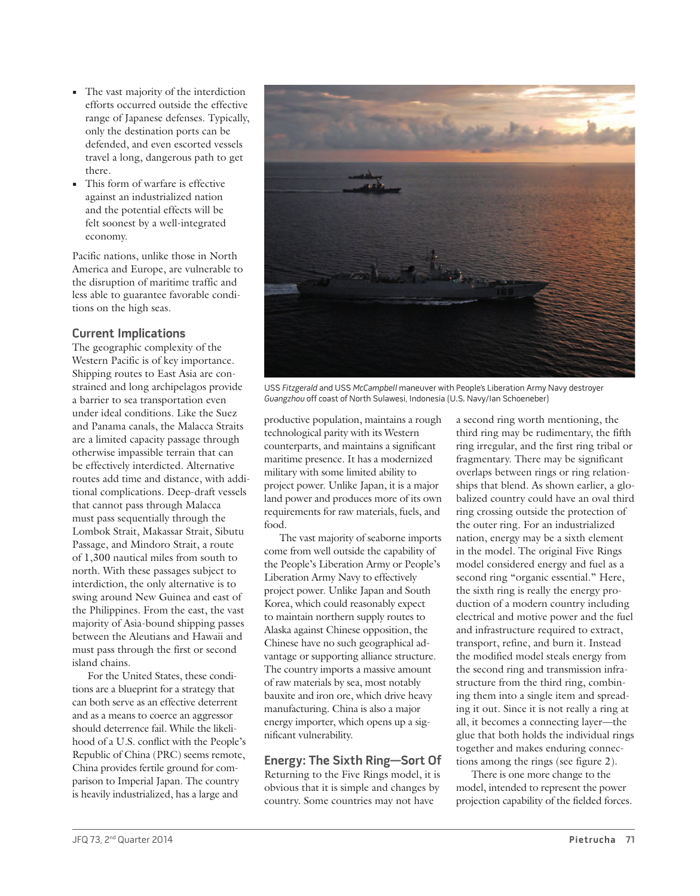- **•** The vast majority of the interdiction efforts occurred outside the effective range of Japanese defenses. Typically, only the destination ports can be defended, and even escorted vessels travel a long, dangerous path to get there.
- **•** This form of warfare is effective against an industrialized nation and the potential effects will be felt soonest by a well-integrated economy.

Pacific nations, unlike those in North America and Europe, are vulnerable to the disruption of maritime traffic and less able to guarantee favorable conditions on the high seas.

# **Current Implications**

The geographic complexity of the Western Pacific is of key importance. Shipping routes to East Asia are constrained and long archipelagos provide a barrier to sea transportation even under ideal conditions. Like the Suez and Panama canals, the Malacca Straits are a limited capacity passage through otherwise impassible terrain that can be effectively interdicted. Alternative routes add time and distance, with additional complications. Deep-draft vessels that cannot pass through Malacca must pass sequentially through the Lombok Strait, Makassar Strait, Sibutu Passage, and Mindoro Strait, a route of 1,300 nautical miles from south to north. With these passages subject to interdiction, the only alternative is to swing around New Guinea and east of the Philippines. From the east, the vast majority of Asia-bound shipping passes between the Aleutians and Hawaii and must pass through the first or second island chains.

For the United States, these conditions are a blueprint for a strategy that can both serve as an effective deterrent and as a means to coerce an aggressor should deterrence fail. While the likelihood of a U.S. conflict with the People's Republic of China (PRC) seems remote, China provides fertile ground for comparison to Imperial Japan. The country is heavily industrialized, has a large and



USS Fitzgerald and USS McCampbell maneuver with People's Liberation Army Navy destroyer Guangzhou off coast of North Sulawesi, Indonesia (U.S. Navy/Ian Schoeneber)

productive population, maintains a rough technological parity with its Western counterparts, and maintains a significant maritime presence. It has a modernized military with some limited ability to project power. Unlike Japan, it is a major land power and produces more of its own requirements for raw materials, fuels, and food.

The vast majority of seaborne imports come from well outside the capability of the People's Liberation Army or People's Liberation Army Navy to effectively project power. Unlike Japan and South Korea, which could reasonably expect to maintain northern supply routes to Alaska against Chinese opposition, the Chinese have no such geographical advantage or supporting alliance structure. The country imports a massive amount of raw materials by sea, most notably bauxite and iron ore, which drive heavy manufacturing. China is also a major energy importer, which opens up a significant vulnerability.

# **Energy: The Sixth Ring—Sort Of**

Returning to the Five Rings model, it is obvious that it is simple and changes by country. Some countries may not have

a second ring worth mentioning, the third ring may be rudimentary, the fifth ring irregular, and the first ring tribal or fragmentary. There may be significant overlaps between rings or ring relationships that blend. As shown earlier, a globalized country could have an oval third ring crossing outside the protection of the outer ring. For an industrialized nation, energy may be a sixth element in the model. The original Five Rings model considered energy and fuel as a second ring "organic essential." Here, the sixth ring is really the energy production of a modern country including electrical and motive power and the fuel and infrastructure required to extract, transport, refine, and burn it. Instead the modified model steals energy from the second ring and transmission infrastructure from the third ring, combining them into a single item and spreading it out. Since it is not really a ring at all, it becomes a connecting layer—the glue that both holds the individual rings together and makes enduring connections among the rings (see figure 2).

There is one more change to the model, intended to represent the power projection capability of the fielded forces.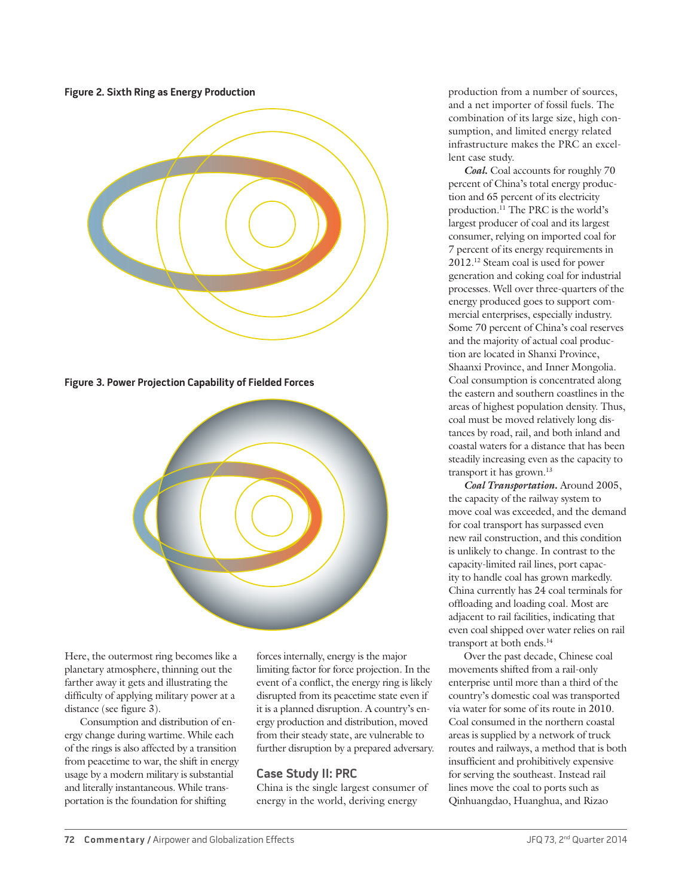**Figure 2. Sixth Ring as Energy Production**



**Figure 3. Power Projection Capability of Fielded Forces**



Here, the outermost ring becomes like a planetary atmosphere, thinning out the farther away it gets and illustrating the difficulty of applying military power at a distance (see figure 3).

Consumption and distribution of energy change during wartime. While each of the rings is also affected by a transition from peacetime to war, the shift in energy usage by a modern military is substantial and literally instantaneous. While transportation is the foundation for shifting

forces internally, energy is the major limiting factor for force projection. In the event of a conflict, the energy ring is likely disrupted from its peacetime state even if it is a planned disruption. A country's energy production and distribution, moved from their steady state, are vulnerable to further disruption by a prepared adversary.

# **Case Study II: PRC**

China is the single largest consumer of energy in the world, deriving energy

production from a number of sources, and a net importer of fossil fuels. The combination of its large size, high consumption, and limited energy related infrastructure makes the PRC an excellent case study.

*Coal***.** Coal accounts for roughly 70 percent of China's total energy production and 65 percent of its electricity production.11 The PRC is the world's largest producer of coal and its largest consumer, relying on imported coal for 7 percent of its energy requirements in 2012.12 Steam coal is used for power generation and coking coal for industrial processes. Well over three-quarters of the energy produced goes to support commercial enterprises, especially industry. Some 70 percent of China's coal reserves and the majority of actual coal production are located in Shanxi Province, Shaanxi Province, and Inner Mongolia. Coal consumption is concentrated along the eastern and southern coastlines in the areas of highest population density. Thus, coal must be moved relatively long distances by road, rail, and both inland and coastal waters for a distance that has been steadily increasing even as the capacity to transport it has grown.<sup>13</sup>

*Coal Transportation***.** Around 2005, the capacity of the railway system to move coal was exceeded, and the demand for coal transport has surpassed even new rail construction, and this condition is unlikely to change. In contrast to the capacity-limited rail lines, port capacity to handle coal has grown markedly. China currently has 24 coal terminals for offloading and loading coal. Most are adjacent to rail facilities, indicating that even coal shipped over water relies on rail transport at both ends.14

Over the past decade, Chinese coal movements shifted from a rail-only enterprise until more than a third of the country's domestic coal was transported via water for some of its route in 2010. Coal consumed in the northern coastal areas is supplied by a network of truck routes and railways, a method that is both insufficient and prohibitively expensive for serving the southeast. Instead rail lines move the coal to ports such as Qinhuangdao, Huanghua, and Rizao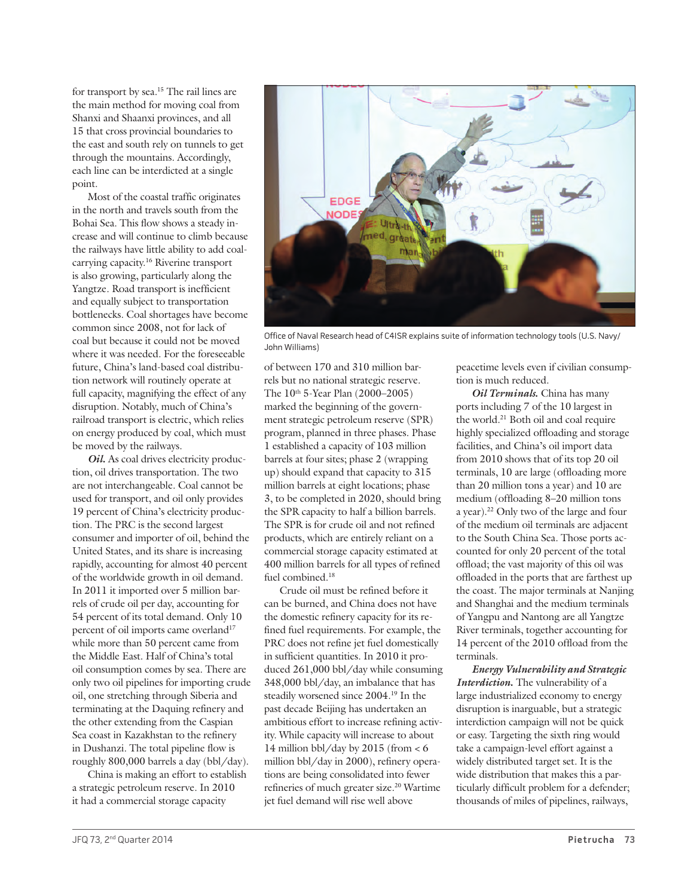for transport by sea.15 The rail lines are the main method for moving coal from Shanxi and Shaanxi provinces, and all 15 that cross provincial boundaries to the east and south rely on tunnels to get through the mountains. Accordingly, each line can be interdicted at a single point.

Most of the coastal traffic originates in the north and travels south from the Bohai Sea. This flow shows a steady increase and will continue to climb because the railways have little ability to add coalcarrying capacity.16 Riverine transport is also growing, particularly along the Yangtze. Road transport is inefficient and equally subject to transportation bottlenecks. Coal shortages have become common since 2008, not for lack of coal but because it could not be moved where it was needed. For the foreseeable future, China's land-based coal distribution network will routinely operate at full capacity, magnifying the effect of any disruption. Notably, much of China's railroad transport is electric, which relies on energy produced by coal, which must be moved by the railways.

*Oil***.** As coal drives electricity production, oil drives transportation. The two are not interchangeable. Coal cannot be used for transport, and oil only provides 19 percent of China's electricity production. The PRC is the second largest consumer and importer of oil, behind the United States, and its share is increasing rapidly, accounting for almost 40 percent of the worldwide growth in oil demand. In 2011 it imported over 5 million barrels of crude oil per day, accounting for 54 percent of its total demand. Only 10 percent of oil imports came overland<sup>17</sup> while more than 50 percent came from the Middle East. Half of China's total oil consumption comes by sea. There are only two oil pipelines for importing crude oil, one stretching through Siberia and terminating at the Daquing refinery and the other extending from the Caspian Sea coast in Kazakhstan to the refinery in Dushanzi. The total pipeline flow is roughly 800,000 barrels a day (bbl/day).

China is making an effort to establish a strategic petroleum reserve. In 2010 it had a commercial storage capacity



Office of Naval Research head of C4ISR explains suite of information technology tools (U.S. Navy/ John Williams)

of between 170 and 310 million barrels but no national strategic reserve. The 10<sup>th</sup> 5-Year Plan (2000–2005) marked the beginning of the government strategic petroleum reserve (SPR) program, planned in three phases. Phase 1 established a capacity of 103 million barrels at four sites; phase 2 (wrapping up) should expand that capacity to 315 million barrels at eight locations; phase 3, to be completed in 2020, should bring the SPR capacity to half a billion barrels. The SPR is for crude oil and not refined products, which are entirely reliant on a commercial storage capacity estimated at 400 million barrels for all types of refined fuel combined.<sup>18</sup>

Crude oil must be refined before it can be burned, and China does not have the domestic refinery capacity for its refined fuel requirements. For example, the PRC does not refine jet fuel domestically in sufficient quantities. In 2010 it produced 261,000 bbl/day while consuming 348,000 bbl/day, an imbalance that has steadily worsened since 2004.19 In the past decade Beijing has undertaken an ambitious effort to increase refining activity. While capacity will increase to about 14 million bbl/day by 2015 (from  $<$  6 million bbl/day in 2000), refinery operations are being consolidated into fewer refineries of much greater size.<sup>20</sup> Wartime jet fuel demand will rise well above

peacetime levels even if civilian consumption is much reduced.

*Oil Terminals***.** China has many ports including 7 of the 10 largest in the world.21 Both oil and coal require highly specialized offloading and storage facilities, and China's oil import data from 2010 shows that of its top 20 oil terminals, 10 are large (offloading more than 20 million tons a year) and 10 are medium (offloading 8–20 million tons a year).22 Only two of the large and four of the medium oil terminals are adjacent to the South China Sea. Those ports accounted for only 20 percent of the total offload; the vast majority of this oil was offloaded in the ports that are farthest up the coast. The major terminals at Nanjing and Shanghai and the medium terminals of Yangpu and Nantong are all Yangtze River terminals, together accounting for 14 percent of the 2010 offload from the terminals.

*Energy Vulnerability and Strategic Interdiction***.** The vulnerability of a large industrialized economy to energy disruption is inarguable, but a strategic interdiction campaign will not be quick or easy. Targeting the sixth ring would take a campaign-level effort against a widely distributed target set. It is the wide distribution that makes this a particularly difficult problem for a defender; thousands of miles of pipelines, railways,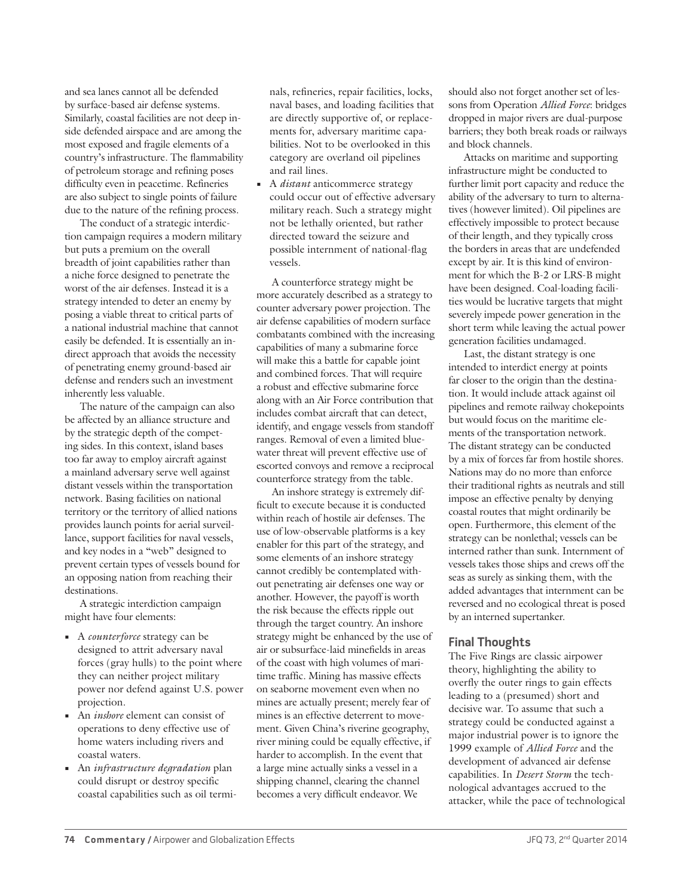and sea lanes cannot all be defended by surface-based air defense systems. Similarly, coastal facilities are not deep inside defended airspace and are among the most exposed and fragile elements of a country's infrastructure. The flammability of petroleum storage and refining poses difficulty even in peacetime. Refineries are also subject to single points of failure due to the nature of the refining process.

The conduct of a strategic interdiction campaign requires a modern military but puts a premium on the overall breadth of joint capabilities rather than a niche force designed to penetrate the worst of the air defenses. Instead it is a strategy intended to deter an enemy by posing a viable threat to critical parts of a national industrial machine that cannot easily be defended. It is essentially an indirect approach that avoids the necessity of penetrating enemy ground-based air defense and renders such an investment inherently less valuable.

The nature of the campaign can also be affected by an alliance structure and by the strategic depth of the competing sides. In this context, island bases too far away to employ aircraft against a mainland adversary serve well against distant vessels within the transportation network. Basing facilities on national territory or the territory of allied nations provides launch points for aerial surveillance, support facilities for naval vessels, and key nodes in a "web" designed to prevent certain types of vessels bound for an opposing nation from reaching their destinations.

A strategic interdiction campaign might have four elements:

- **•** A *counterforce* strategy can be designed to attrit adversary naval forces (gray hulls) to the point where they can neither project military power nor defend against U.S. power projection.
- **•** An *inshore* element can consist of operations to deny effective use of home waters including rivers and coastal waters.
- **•** An *infrastructure degradation* plan could disrupt or destroy specific coastal capabilities such as oil termi-

nals, refineries, repair facilities, locks, naval bases, and loading facilities that are directly supportive of, or replacements for, adversary maritime capabilities. Not to be overlooked in this category are overland oil pipelines and rail lines.

**•** A *distant* anticommerce strategy could occur out of effective adversary military reach. Such a strategy might not be lethally oriented, but rather directed toward the seizure and possible internment of national-flag vessels.

A counterforce strategy might be more accurately described as a strategy to counter adversary power projection. The air defense capabilities of modern surface combatants combined with the increasing capabilities of many a submarine force will make this a battle for capable joint and combined forces. That will require a robust and effective submarine force along with an Air Force contribution that includes combat aircraft that can detect, identify, and engage vessels from standoff ranges. Removal of even a limited bluewater threat will prevent effective use of escorted convoys and remove a reciprocal counterforce strategy from the table.

An inshore strategy is extremely difficult to execute because it is conducted within reach of hostile air defenses. The use of low-observable platforms is a key enabler for this part of the strategy, and some elements of an inshore strategy cannot credibly be contemplated without penetrating air defenses one way or another. However, the payoff is worth the risk because the effects ripple out through the target country. An inshore strategy might be enhanced by the use of air or subsurface-laid minefields in areas of the coast with high volumes of maritime traffic. Mining has massive effects on seaborne movement even when no mines are actually present; merely fear of mines is an effective deterrent to movement. Given China's riverine geography, river mining could be equally effective, if harder to accomplish. In the event that a large mine actually sinks a vessel in a shipping channel, clearing the channel becomes a very difficult endeavor. We

should also not forget another set of lessons from Operation *Allied Force*: bridges dropped in major rivers are dual-purpose barriers; they both break roads or railways and block channels.

Attacks on maritime and supporting infrastructure might be conducted to further limit port capacity and reduce the ability of the adversary to turn to alternatives (however limited). Oil pipelines are effectively impossible to protect because of their length, and they typically cross the borders in areas that are undefended except by air. It is this kind of environment for which the B-2 or LRS-B might have been designed. Coal-loading facilities would be lucrative targets that might severely impede power generation in the short term while leaving the actual power generation facilities undamaged.

Last, the distant strategy is one intended to interdict energy at points far closer to the origin than the destination. It would include attack against oil pipelines and remote railway chokepoints but would focus on the maritime elements of the transportation network. The distant strategy can be conducted by a mix of forces far from hostile shores. Nations may do no more than enforce their traditional rights as neutrals and still impose an effective penalty by denying coastal routes that might ordinarily be open. Furthermore, this element of the strategy can be nonlethal; vessels can be interned rather than sunk. Internment of vessels takes those ships and crews off the seas as surely as sinking them, with the added advantages that internment can be reversed and no ecological threat is posed by an interned supertanker.

# **Final Thoughts**

The Five Rings are classic airpower theory, highlighting the ability to overfly the outer rings to gain effects leading to a (presumed) short and decisive war. To assume that such a strategy could be conducted against a major industrial power is to ignore the 1999 example of *Allied Force* and the development of advanced air defense capabilities. In *Desert Storm* the technological advantages accrued to the attacker, while the pace of technological